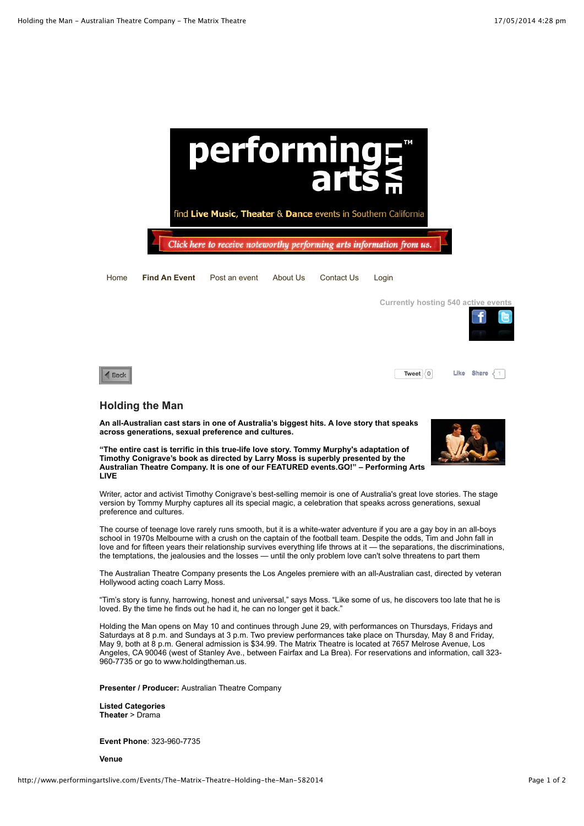

Writer, actor and activist Timothy Conigrave's best-selling memoir is one of Australia's great love stories. The stage version by Tommy Murphy captures all its special magic, a celebration that speaks across generations, sexual preference and cultures.

The course of teenage love rarely runs smooth, but it is a white-water adventure if you are a gay boy in an all-boys school in 1970s Melbourne with a crush on the captain of the football team. Despite the odds, Tim and John fall in love and for fifteen years their relationship survives everything life throws at it — the separations, the discriminations, the temptations, the jealousies and the losses — until the only problem love can't solve threatens to part them

The Australian Theatre Company presents the Los Angeles premiere with an all-Australian cast, directed by veteran Hollywood acting coach Larry Moss.

"Tim's story is funny, harrowing, honest and universal," says Moss. "Like some of us, he discovers too late that he is loved. By the time he finds out he had it, he can no longer get it back."

Holding the Man opens on May 10 and continues through June 29, with performances on Thursdays, Fridays and Saturdays at 8 p.m. and Sundays at 3 p.m. Two preview performances take place on Thursday, May 8 and Friday, May 9, both at 8 p.m. General admission is \$34.99. The Matrix Theatre is located at 7657 Melrose Avenue, Los Angeles, CA 90046 (west of Stanley Ave., between Fairfax and La Brea). For reservations and information, call 323- 960-7735 or go to www.holdingtheman.us.

**Presenter / Producer:** Australian Theatre Company

**Listed Categories Theater** > Drama

**Event Phone**: 323-960-7735

**Venue**